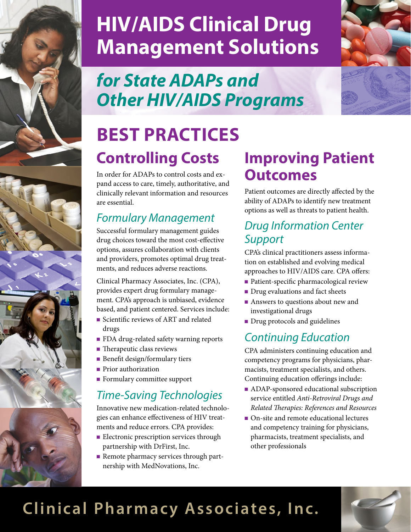

# **HIV/AIDS Clinical Drug Management Solutions**

### *for State ADAPs and Other HIV/AIDS Programs*

# **Controlling Costs BEST PRACTICES**

In order for ADAPs to control costs and expand access to care, timely, authoritative, and clinically relevant information and resources are essential.

#### *Formulary Management*

Successful formulary management guides drug choices toward the most cost-effective options, assures collaboration with clients and providers, promotes optimal drug treatments, and reduces adverse reactions.

Clinical Pharmacy Associates, Inc. (CPA), provides expert drug formulary management. CPA's approach is unbiased, evidence based, and patient centered. Services include:

- <sup>n</sup> Scientific reviews of ART and related drugs
- FDA drug-related safety warning reports
- $\blacksquare$  Therapeutic class reviews
- $\blacksquare$  Benefit design/formulary tiers
- **Prior authorization**
- $\blacksquare$  Formulary committee support

#### *Time-Saving Technologies*

Innovative new medication-related technologies can enhance effectiveness of HIV treatments and reduce errors. CPA provides:

- **Electronic prescription services through** partnership with DrFirst, Inc.
- <sup>n</sup> Remote pharmacy services through partnership with MedNovations, Inc.

### **Improving Patient Outcomes**

Patient outcomes are directly affected by the ability of ADAPs to identify new treatment options as well as threats to patient health.

#### *Drug Information Center Support*

CPA's clinical practitioners assess information on established and evolving medical approaches to HIV/AIDS care. CPA offers:

- Patient-specific pharmacological review
- **n** Drug evaluations and fact sheets
- Answers to questions about new and investigational drugs
- **n** Drug protocols and guidelines

#### *Continuing Education*

CPA administers continuing education and competency programs for physicians, pharmacists, treatment specialists, and others. Continuing education offerings include:

- <sup>n</sup> ADAP-sponsored educational subscription service entitled *Anti-Retroviral Drugs and Related Therapies: References and Resources*
- On-site and remote educational lectures and competency training for physicians, pharmacists, treatment specialists, and other professionals

### **Clinical Pharmacy Associates, Inc.**